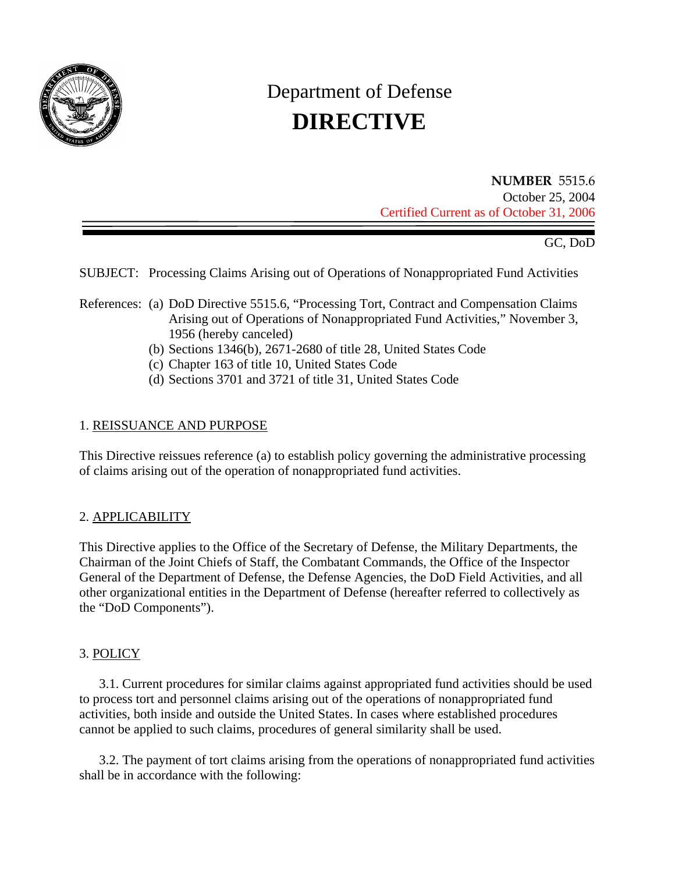

# Department of Defense **DIRECTIVE**

**NUMBER** 5515.6 October 25, 2004 Certified Current as of October 31, 2006

GC, DoD

SUBJECT: Processing Claims Arising out of Operations of Nonappropriated Fund Activities

- References: (a) DoD Directive 5515.6, "Processing Tort, Contract and Compensation Claims Arising out of Operations of Nonappropriated Fund Activities," November 3, 1956 (hereby canceled)
	- (b) Sections 1346(b), 2671-2680 of title 28, United States Code
	- (c) Chapter 163 of title 10, United States Code
	- (d) Sections 3701 and 3721 of title 31, United States Code

## 1. REISSUANCE AND PURPOSE

This Directive reissues reference (a) to establish policy governing the administrative processing of claims arising out of the operation of nonappropriated fund activities.

## 2. APPLICABILITY

This Directive applies to the Office of the Secretary of Defense, the Military Departments, the Chairman of the Joint Chiefs of Staff, the Combatant Commands, the Office of the Inspector General of the Department of Defense, the Defense Agencies, the DoD Field Activities, and all other organizational entities in the Department of Defense (hereafter referred to collectively as the "DoD Components").

## 3. POLICY

3.1. Current procedures for similar claims against appropriated fund activities should be used to process tort and personnel claims arising out of the operations of nonappropriated fund activities, both inside and outside the United States. In cases where established procedures cannot be applied to such claims, procedures of general similarity shall be used.

3.2. The payment of tort claims arising from the operations of nonappropriated fund activities shall be in accordance with the following: